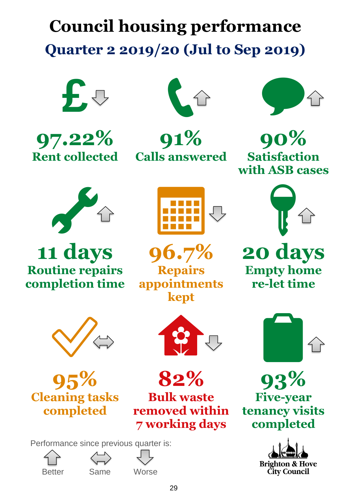# **Council housing performance Quarter 2 2019/20 (Jul to Sep 2019)**







**91% Calls answered**



**90% Satisfaction with ASB cases**



**11 days Routine repairs completion time**







**20 days Empty home re-let time**



**95% Cleaning tasks completed**



**82%**

**Bulk waste removed within 7 working days**

Performance since previous quarter is:







**93%**

**Five-year tenancy visits completed**